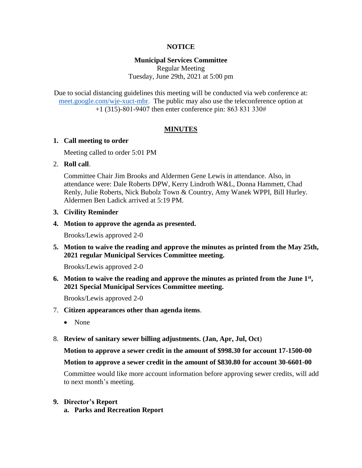### **NOTICE**

### **Municipal Services Committee**

Regular Meeting Tuesday, June 29th, 2021 at 5:00 pm

Due to social distancing guidelines this meeting will be conducted via web conference at: [meet.google.com/wje-xuct-mbr.](file://///fs01/cityhall/Minutes%20&%20Agendas/Municipal%20Services%20Committee/2021%20MSC%20Agendas/meet.google.com/wje-xuct-mbr) The public may also use the teleconference option at +1 (315)-801-9407 then enter conference pin: 863 831 330#

### **MINUTES**

#### **1. Call meeting to order**

Meeting called to order 5:01 PM

### 2. **Roll call**.

Committee Chair Jim Brooks and Aldermen Gene Lewis in attendance. Also, in attendance were: Dale Roberts DPW, Kerry Lindroth W&L, Donna Hammett, Chad Renly, Julie Roberts, Nick Bubolz Town & Country, Amy Wanek WPPI, Bill Hurley. Aldermen Ben Ladick arrived at 5:19 PM.

### **3. Civility Reminder**

**4. Motion to approve the agenda as presented.**

Brooks/Lewis approved 2-0

**5. Motion to waive the reading and approve the minutes as printed from the May 25th, 2021 regular Municipal Services Committee meeting.**

Brooks/Lewis approved 2-0

**6. Motion to waive the reading and approve the minutes as printed from the June 1st , 2021 Special Municipal Services Committee meeting.**

Brooks/Lewis approved 2-0

- 7. **Citizen appearances other than agenda items**.
	- None
- 8. **Review of sanitary sewer billing adjustments. (Jan, Apr, Jul, Oct**)

**Motion to approve a sewer credit in the amount of \$998.30 for account 17-1500-00**

#### **Motion to approve a sewer credit in the amount of \$830.80 for account 30-6601-00**

Committee would like more account information before approving sewer credits, will add to next month's meeting.

#### **9. Director's Report**

**a. Parks and Recreation Report**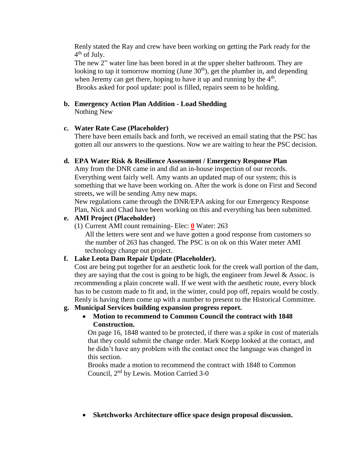Renly stated the Ray and crew have been working on getting the Park ready for the 4<sup>th</sup> of July.

The new 2" water line has been bored in at the upper shelter bathroom. They are looking to tap it tomorrow morning (June  $30<sup>th</sup>$ ), get the plumber in, and depending when Jeremy can get there, hoping to have it up and running by the  $4<sup>th</sup>$ . Brooks asked for pool update: pool is filled, repairs seem to be holding.

# **b. Emergency Action Plan Addition - Load Shedding**

Nothing New

### **c. Water Rate Case (Placeholder)**

There have been emails back and forth, we received an email stating that the PSC has gotten all our answers to the questions. Now we are waiting to hear the PSC decision.

### **d. EPA Water Risk & Resilience Assessment / Emergency Response Plan**

Amy from the DNR came in and did an in-house inspection of our records. Everything went fairly well. Amy wants an updated map of our system; this is something that we have been working on. After the work is done on First and Second streets, we will be sending Amy new maps.

New regulations came through the DNR/EPA asking for our Emergency Response Plan, Nick and Chad have been working on this and everything has been submitted.

# **e. AMI Project (Placeholder)**

(1) Current AMI count remaining- Elec: **0** Water: 263

All the letters were sent and we have gotten a good response from customers so the number of 263 has changed. The PSC is on ok on this Water meter AMI technology change out project.

# **f. Lake Leota Dam Repair Update (Placeholder).**

Cost are being put together for an aesthetic look for the creek wall portion of the dam, they are saying that the cost is going to be high, the engineer from Jewel  $\&$  Assoc. is recommending a plain concrete wall. If we went with the aesthetic route, every block has to be custom made to fit and, in the winter, could pop off, repairs would be costly. Renly is having them come up with a number to present to the Historical Committee.

# **g. Municipal Services building expansion progress report.**

 **Motion to recommend to Common Council the contract with 1848 Construction.**

On page 16, 1848 wanted to be protected, if there was a spike in cost of materials that they could submit the change order. Mark Koepp looked at the contact, and he didn't have any problem with the contact once the language was changed in this section.

Brooks made a motion to recommend the contract with 1848 to Common Council, 2nd by Lewis. Motion Carried 3-0

**Sketchworks Architecture office space design proposal discussion.**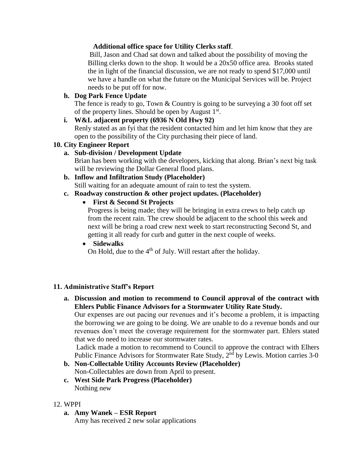### **Additional office space for Utility Clerks staff**.

Bill, Jason and Chad sat down and talked about the possibility of moving the Billing clerks down to the shop. It would be a 20x50 office area. Brooks stated the in light of the financial discussion, we are not ready to spend \$17,000 until we have a handle on what the future on the Municipal Services will be. Project needs to be put off for now.

### **h. Dog Park Fence Update**

The fence is ready to go, Town & Country is going to be surveying a 30 foot off set of the property lines. Should be open by August  $1<sup>st</sup>$ .

#### **i. W&L adjacent property (6936 N Old Hwy 92)**

Renly stated as an fyi that the resident contacted him and let him know that they are open to the possibility of the City purchasing their piece of land.

### **10. City Engineer Report**

# **a. Sub-division / Development Update**

Brian has been working with the developers, kicking that along. Brian's next big task will be reviewing the Dollar General flood plans.

- **b. Inflow and Infiltration Study (Placeholder)** Still waiting for an adequate amount of rain to test the system.
- **c. Roadway construction & other project updates. (Placeholder)**

# **First & Second St Projects**

Progress is being made; they will be bringing in extra crews to help catch up from the recent rain. The crew should be adjacent to the school this week and next will be bring a road crew next week to start reconstructing Second St, and getting it all ready for curb and gutter in the next couple of weeks.

# **Sidewalks**

On Hold, due to the  $4<sup>th</sup>$  of July. Will restart after the holiday.

#### **11. Administrative Staff's Report**

**a. Discussion and motion to recommend to Council approval of the contract with Ehlers Public Finance Advisors for a Stormwater Utility Rate Study.**

Our expenses are out pacing our revenues and it's become a problem, it is impacting the borrowing we are going to be doing. We are unable to do a revenue bonds and our revenues don't meet the coverage requirement for the stormwater part. Ehlers stated that we do need to increase our stormwater rates.

Ladick made a motion to recommend to Council to approve the contract with Elhers Public Finance Advisors for Stormwater Rate Study,  $2<sup>nd</sup>$  by Lewis. Motion carries 3-0

- **b. Non-Collectable Utility Accounts Review (Placeholder)**  Non-Collectables are down from April to present.
- **c. West Side Park Progress (Placeholder)** Nothing new

#### 12. WPPI

**a. Amy Wanek – ESR Report** Amy has received 2 new solar applications